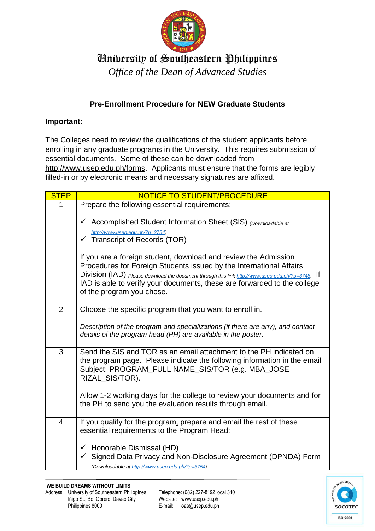

## University of Southeastern Philippines

*Office of the Dean of Advanced Studies*

## **Pre-Enrollment Procedure for NEW Graduate Students**

## **Important:**

The Colleges need to review the qualifications of the student applicants before enrolling in any graduate programs in the University. This requires submission of essential documents. Some of these can be downloaded from [http://www.usep.edu.ph/forms.](http://www.usep.edu.ph/forms) Applicants must ensure that the forms are legibly filled-in or by electronic means and necessary signatures are affixed.

| <b>STEP</b>    | NOTICE TO STUDENT/PROCEDURE                                                                                                                                                                                                                                                                                                                         |
|----------------|-----------------------------------------------------------------------------------------------------------------------------------------------------------------------------------------------------------------------------------------------------------------------------------------------------------------------------------------------------|
| 1              | Prepare the following essential requirements:                                                                                                                                                                                                                                                                                                       |
|                | ✓ Accomplished Student Information Sheet (SIS) (Downloadable at<br>http://www.usep.edu.ph/?p=3754)<br>$\checkmark$ Transcript of Records (TOR)                                                                                                                                                                                                      |
|                | If you are a foreign student, download and review the Admission<br>Procedures for Foreign Students issued by the International Affairs<br>Division (IAD) Please download the document through this link http://www.usep.edu.ph/?p=3748. If<br>IAD is able to verify your documents, these are forwarded to the college<br>of the program you chose. |
| $\overline{2}$ | Choose the specific program that you want to enroll in.                                                                                                                                                                                                                                                                                             |
|                | Description of the program and specializations (if there are any), and contact<br>details of the program head (PH) are available in the poster.                                                                                                                                                                                                     |
| 3              | Send the SIS and TOR as an email attachment to the PH indicated on<br>the program page. Please indicate the following information in the email<br>Subject: PROGRAM_FULL NAME_SIS/TOR (e.g. MBA_JOSE<br>RIZAL_SIS/TOR).                                                                                                                              |
|                | Allow 1-2 working days for the college to review your documents and for<br>the PH to send you the evaluation results through email.                                                                                                                                                                                                                 |
| $\overline{4}$ | If you qualify for the program, prepare and email the rest of these<br>essential requirements to the Program Head:                                                                                                                                                                                                                                  |
|                | Honorable Dismissal (HD)<br>$\checkmark$<br>Signed Data Privacy and Non-Disclosure Agreement (DPNDA) Form<br>(Downloadable at http://www.usep.edu.ph/?p=3754)                                                                                                                                                                                       |

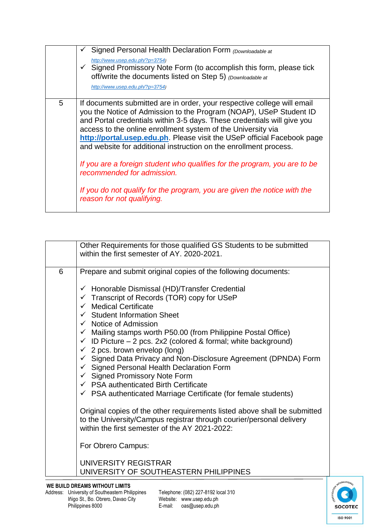|   | Signed Personal Health Declaration Form (Downloadable at<br>http://www.usep.edu.ph/?p=3754)<br>$\checkmark$ Signed Promissory Note Form (to accomplish this form, please tick<br>off/write the documents listed on Step 5) (Downloadable at<br>http://www.usep.edu.ph/?p=3754)                                                                                                                                                                                                                                                                                                                                                                                |
|---|---------------------------------------------------------------------------------------------------------------------------------------------------------------------------------------------------------------------------------------------------------------------------------------------------------------------------------------------------------------------------------------------------------------------------------------------------------------------------------------------------------------------------------------------------------------------------------------------------------------------------------------------------------------|
| 5 | If documents submitted are in order, your respective college will email<br>you the Notice of Admission to the Program (NOAP), USeP Student ID<br>and Portal credentials within 3-5 days. These credentials will give you<br>access to the online enrollment system of the University via<br>http://portal.usep.edu.ph. Please visit the USeP official Facebook page<br>and website for additional instruction on the enrollment process.<br>If you are a foreign student who qualifies for the program, you are to be<br>recommended for admission.<br>If you do not qualify for the program, you are given the notice with the<br>reason for not qualifying. |

|   | Other Requirements for those qualified GS Students to be submitted<br>within the first semester of AY, 2020-2021.                                                                                                                                                                                                                                                                                                                                                                                                                                                                                                                                                                                                                                             |
|---|---------------------------------------------------------------------------------------------------------------------------------------------------------------------------------------------------------------------------------------------------------------------------------------------------------------------------------------------------------------------------------------------------------------------------------------------------------------------------------------------------------------------------------------------------------------------------------------------------------------------------------------------------------------------------------------------------------------------------------------------------------------|
| 6 | Prepare and submit original copies of the following documents:                                                                                                                                                                                                                                                                                                                                                                                                                                                                                                                                                                                                                                                                                                |
|   | $\checkmark$ Honorable Dismissal (HD)/Transfer Credential<br>$\checkmark$ Transcript of Records (TOR) copy for USeP<br>$\checkmark$ Medical Certificate<br>$\checkmark$ Student Information Sheet<br>$\checkmark$ Notice of Admission<br>$\checkmark$ Mailing stamps worth P50.00 (from Philippine Postal Office)<br>$\checkmark$ ID Picture – 2 pcs. 2x2 (colored & formal; white background)<br>$\checkmark$ 2 pcs. brown envelop (long)<br>$\checkmark$ Signed Data Privacy and Non-Disclosure Agreement (DPNDA) Form<br>$\checkmark$ Signed Personal Health Declaration Form<br>$\checkmark$ Signed Promissory Note Form<br>$\checkmark$ PSA authenticated Birth Certificate<br>$\checkmark$ PSA authenticated Marriage Certificate (for female students) |
|   | Original copies of the other requirements listed above shall be submitted<br>to the University/Campus registrar through courier/personal delivery<br>within the first semester of the AY 2021-2022:                                                                                                                                                                                                                                                                                                                                                                                                                                                                                                                                                           |
|   | For Obrero Campus:                                                                                                                                                                                                                                                                                                                                                                                                                                                                                                                                                                                                                                                                                                                                            |
|   | UNIVERSITY REGISTRAR<br>UNIVERSITY OF SOUTHEASTERN PHILIPPINES                                                                                                                                                                                                                                                                                                                                                                                                                                                                                                                                                                                                                                                                                                |